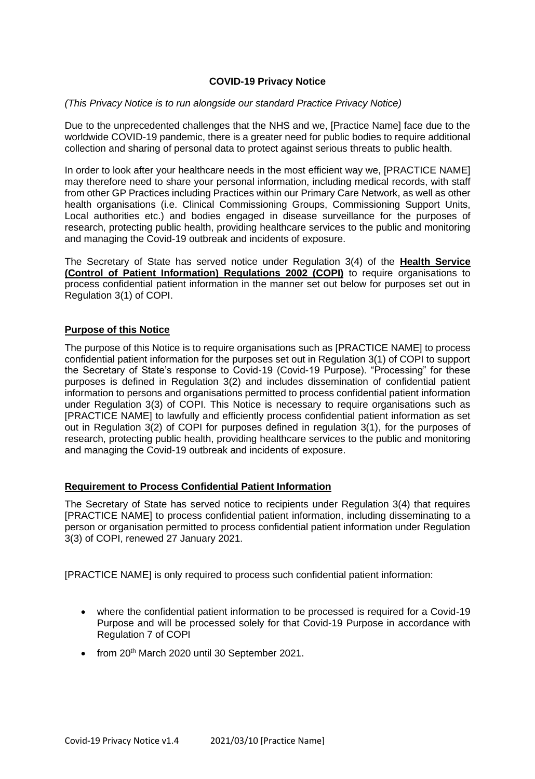## **COVID-19 Privacy Notice**

### *(This Privacy Notice is to run alongside our standard Practice Privacy Notice)*

Due to the unprecedented challenges that the NHS and we, [Practice Name] face due to the worldwide COVID-19 pandemic, there is a greater need for public bodies to require additional collection and sharing of personal data to protect against serious threats to public health.

In order to look after your healthcare needs in the most efficient way we, [PRACTICE NAME] may therefore need to share your personal information, including medical records, with staff from other GP Practices including Practices within our Primary Care Network, as well as other health organisations (i.e. Clinical Commissioning Groups, Commissioning Support Units, Local authorities etc.) and bodies engaged in disease surveillance for the purposes of research, protecting public health, providing healthcare services to the public and monitoring and managing the Covid-19 outbreak and incidents of exposure.

The Secretary of State has served notice under Regulation 3(4) of the **Health Service (Control of Patient Information) Regulations 2002 (COPI)** to require organisations to process confidential patient information in the manner set out below for purposes set out in Regulation 3(1) of COPI.

## **Purpose of this Notice**

The purpose of this Notice is to require organisations such as [PRACTICE NAME] to process confidential patient information for the purposes set out in Regulation 3(1) of COPI to support the Secretary of State's response to Covid-19 (Covid-19 Purpose). "Processing" for these purposes is defined in Regulation 3(2) and includes dissemination of confidential patient information to persons and organisations permitted to process confidential patient information under Regulation 3(3) of COPI. This Notice is necessary to require organisations such as [PRACTICE NAME] to lawfully and efficiently process confidential patient information as set out in Regulation 3(2) of COPI for purposes defined in regulation 3(1), for the purposes of research, protecting public health, providing healthcare services to the public and monitoring and managing the Covid-19 outbreak and incidents of exposure.

### **Requirement to Process Confidential Patient Information**

The Secretary of State has served notice to recipients under Regulation 3(4) that requires [PRACTICE NAME] to process confidential patient information, including disseminating to a person or organisation permitted to process confidential patient information under Regulation 3(3) of COPI, renewed 27 January 2021.

[PRACTICE NAME] is only required to process such confidential patient information:

- where the confidential patient information to be processed is required for a Covid-19 Purpose and will be processed solely for that Covid-19 Purpose in accordance with Regulation 7 of COPI
- from 20<sup>th</sup> March 2020 until 30 September 2021.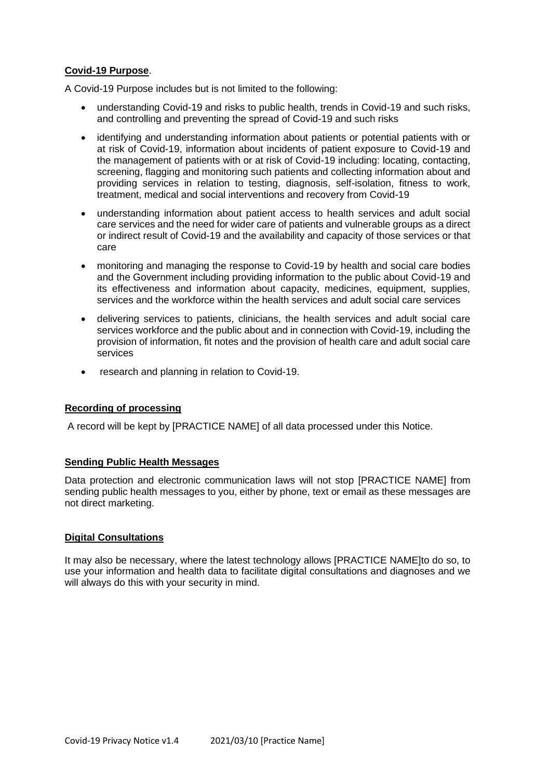# **Covid-19 Purpose**.

A Covid-19 Purpose includes but is not limited to the following:

- understanding Covid-19 and risks to public health, trends in Covid-19 and such risks, and controlling and preventing the spread of Covid-19 and such risks
- identifying and understanding information about patients or potential patients with or at risk of Covid-19, information about incidents of patient exposure to Covid-19 and the management of patients with or at risk of Covid-19 including: locating, contacting, screening, flagging and monitoring such patients and collecting information about and providing services in relation to testing, diagnosis, self-isolation, fitness to work, treatment, medical and social interventions and recovery from Covid-19
- understanding information about patient access to health services and adult social care services and the need for wider care of patients and vulnerable groups as a direct or indirect result of Covid-19 and the availability and capacity of those services or that care
- monitoring and managing the response to Covid-19 by health and social care bodies and the Government including providing information to the public about Covid-19 and its effectiveness and information about capacity, medicines, equipment, supplies, services and the workforce within the health services and adult social care services
- delivering services to patients, clinicians, the health services and adult social care services workforce and the public about and in connection with Covid-19, including the provision of information, fit notes and the provision of health care and adult social care services
- research and planning in relation to Covid-19.

## **Recording of processing**

A record will be kept by [PRACTICE NAME] of all data processed under this Notice.

### **Sending Public Health Messages**

Data protection and electronic communication laws will not stop [PRACTICE NAME] from sending public health messages to you, either by phone, text or email as these messages are not direct marketing.

### **Digital Consultations**

It may also be necessary, where the latest technology allows [PRACTICE NAME]to do so, to use your information and health data to facilitate digital consultations and diagnoses and we will always do this with your security in mind.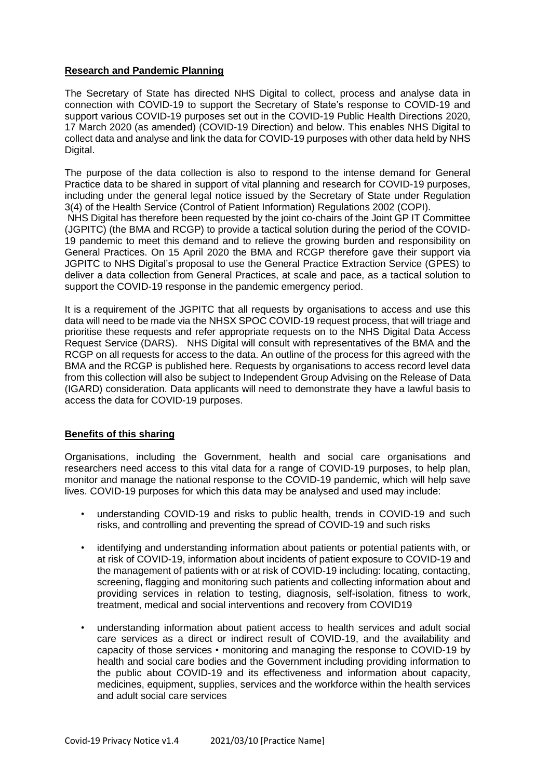## **Research and Pandemic Planning**

The Secretary of State has directed NHS Digital to collect, process and analyse data in connection with COVID-19 to support the Secretary of State's response to COVID-19 and support various COVID-19 purposes set out in the COVID-19 Public Health Directions 2020, 17 March 2020 (as amended) (COVID-19 Direction) and below. This enables NHS Digital to collect data and analyse and link the data for COVID-19 purposes with other data held by NHS Digital.

The purpose of the data collection is also to respond to the intense demand for General Practice data to be shared in support of vital planning and research for COVID-19 purposes, including under the general legal notice issued by the Secretary of State under Regulation 3(4) of the Health Service (Control of Patient Information) Regulations 2002 (COPI).

NHS Digital has therefore been requested by the joint co-chairs of the Joint GP IT Committee (JGPITC) (the BMA and RCGP) to provide a tactical solution during the period of the COVID-19 pandemic to meet this demand and to relieve the growing burden and responsibility on General Practices. On 15 April 2020 the BMA and RCGP therefore gave their support via JGPITC to NHS Digital's proposal to use the General Practice Extraction Service (GPES) to deliver a data collection from General Practices, at scale and pace, as a tactical solution to support the COVID-19 response in the pandemic emergency period.

It is a requirement of the JGPITC that all requests by organisations to access and use this data will need to be made via the NHSX SPOC COVID-19 request process, that will triage and prioritise these requests and refer appropriate requests on to the NHS Digital Data Access Request Service (DARS). NHS Digital will consult with representatives of the BMA and the RCGP on all requests for access to the data. An outline of the process for this agreed with the BMA and the RCGP is published here. Requests by organisations to access record level data from this collection will also be subject to Independent Group Advising on the Release of Data (IGARD) consideration. Data applicants will need to demonstrate they have a lawful basis to access the data for COVID-19 purposes.

### **Benefits of this sharing**

Organisations, including the Government, health and social care organisations and researchers need access to this vital data for a range of COVID-19 purposes, to help plan, monitor and manage the national response to the COVID-19 pandemic, which will help save lives. COVID-19 purposes for which this data may be analysed and used may include:

- understanding COVID-19 and risks to public health, trends in COVID-19 and such risks, and controlling and preventing the spread of COVID-19 and such risks
- identifying and understanding information about patients or potential patients with, or at risk of COVID-19, information about incidents of patient exposure to COVID-19 and the management of patients with or at risk of COVID-19 including: locating, contacting, screening, flagging and monitoring such patients and collecting information about and providing services in relation to testing, diagnosis, self-isolation, fitness to work, treatment, medical and social interventions and recovery from COVID19
- understanding information about patient access to health services and adult social care services as a direct or indirect result of COVID-19, and the availability and capacity of those services • monitoring and managing the response to COVID-19 by health and social care bodies and the Government including providing information to the public about COVID-19 and its effectiveness and information about capacity, medicines, equipment, supplies, services and the workforce within the health services and adult social care services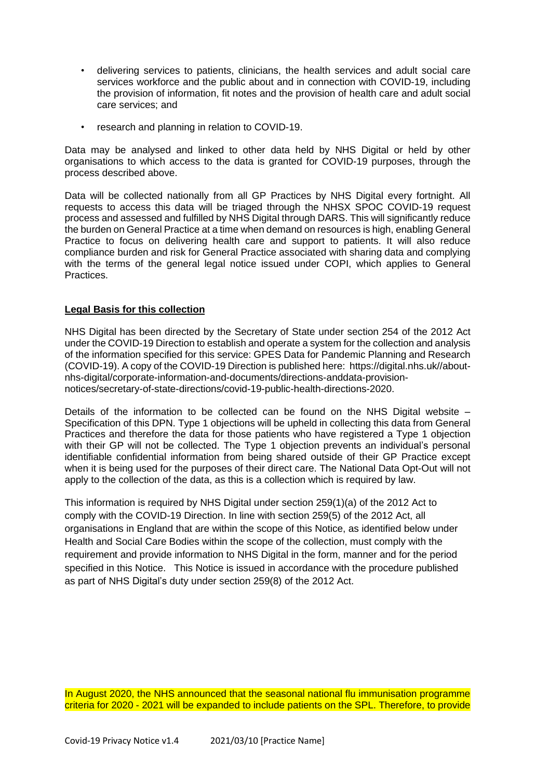- delivering services to patients, clinicians, the health services and adult social care services workforce and the public about and in connection with COVID-19, including the provision of information, fit notes and the provision of health care and adult social care services; and
- research and planning in relation to COVID-19.

Data may be analysed and linked to other data held by NHS Digital or held by other organisations to which access to the data is granted for COVID-19 purposes, through the process described above.

Data will be collected nationally from all GP Practices by NHS Digital every fortnight. All requests to access this data will be triaged through the NHSX SPOC COVID-19 request process and assessed and fulfilled by NHS Digital through DARS. This will significantly reduce the burden on General Practice at a time when demand on resources is high, enabling General Practice to focus on delivering health care and support to patients. It will also reduce compliance burden and risk for General Practice associated with sharing data and complying with the terms of the general legal notice issued under COPI, which applies to General Practices.

## **Legal Basis for this collection**

NHS Digital has been directed by the Secretary of State under section 254 of the 2012 Act under the COVID-19 Direction to establish and operate a system for the collection and analysis of the information specified for this service: GPES Data for Pandemic Planning and Research (COVID-19). A copy of the COVID-19 Direction is published here: https://digital.nhs.uk//aboutnhs-digital/corporate-information-and-documents/directions-anddata-provisionnotices/secretary-of-state-directions/covid-19-public-health-directions-2020.

Details of the information to be collected can be found on the NHS Digital website – Specification of this DPN. Type 1 objections will be upheld in collecting this data from General Practices and therefore the data for those patients who have registered a Type 1 objection with their GP will not be collected. The Type 1 objection prevents an individual's personal identifiable confidential information from being shared outside of their GP Practice except when it is being used for the purposes of their direct care. The National Data Opt-Out will not apply to the collection of the data, as this is a collection which is required by law.

This information is required by NHS Digital under section 259(1)(a) of the 2012 Act to comply with the COVID-19 Direction. In line with section 259(5) of the 2012 Act, all organisations in England that are within the scope of this Notice, as identified below under Health and Social Care Bodies within the scope of the collection, must comply with the requirement and provide information to NHS Digital in the form, manner and for the period specified in this Notice. This Notice is issued in accordance with the procedure published as part of NHS Digital's duty under section 259(8) of the 2012 Act.

In August 2020, the NHS announced that the seasonal national flu immunisation programme criteria for 2020 - 2021 will be expanded to include patients on the SPL. Therefore, to provide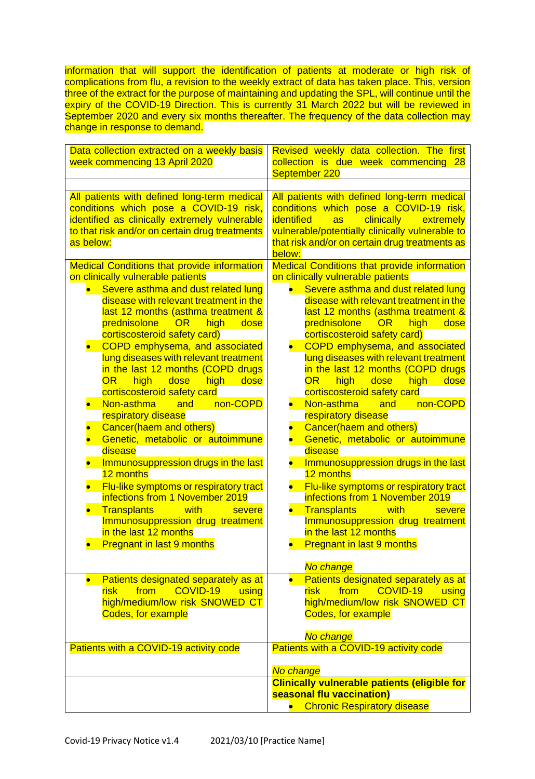information that will support the identification of patients at moderate or high risk of complications from flu, a revision to the weekly extract of data has taken place. This, version three of the extract for the purpose of maintaining and updating the SPL, will continue until the expiry of the COVID-19 Direction. This is currently 31 March 2022 but will be reviewed in September 2020 and every six months thereafter. The frequency of the data collection may change in response to demand.

| Data collection extracted on a weekly basis<br>week commencing 13 April 2020                                                                                                                                                                                                                                                                                                                                                                                                                                                                                                                                                                                                                                                                                                                                                                                                                                                                                                                                                                                      | Revised weekly data collection. The first<br>collection is due week commencing 28<br>September 220                                                                                                                                                                                                                                                                                                                                                                                                                                                                                                                                                                                                                                                                                                                                                                                                                                                                                                                                                                                                                                  |
|-------------------------------------------------------------------------------------------------------------------------------------------------------------------------------------------------------------------------------------------------------------------------------------------------------------------------------------------------------------------------------------------------------------------------------------------------------------------------------------------------------------------------------------------------------------------------------------------------------------------------------------------------------------------------------------------------------------------------------------------------------------------------------------------------------------------------------------------------------------------------------------------------------------------------------------------------------------------------------------------------------------------------------------------------------------------|-------------------------------------------------------------------------------------------------------------------------------------------------------------------------------------------------------------------------------------------------------------------------------------------------------------------------------------------------------------------------------------------------------------------------------------------------------------------------------------------------------------------------------------------------------------------------------------------------------------------------------------------------------------------------------------------------------------------------------------------------------------------------------------------------------------------------------------------------------------------------------------------------------------------------------------------------------------------------------------------------------------------------------------------------------------------------------------------------------------------------------------|
| All patients with defined long-term medical<br>conditions which pose a COVID-19 risk,<br>identified as clinically extremely vulnerable<br>to that risk and/or on certain drug treatments<br>as below:<br><b>Medical Conditions that provide information</b><br>on clinically vulnerable patients<br>Severe asthma and dust related lung<br>disease with relevant treatment in the<br>last 12 months (asthma treatment &<br>prednisolone<br>OR<br>high<br>dose<br>cortiscosteroid safety card)<br>COPD emphysema, and associated<br>lung diseases with relevant treatment<br>in the last 12 months (COPD drugs<br><b>OR</b><br>high<br>dose<br>high<br>dose<br>cortiscosteroid safety card<br>Non-asthma<br>non-COPD<br>and<br>respiratory disease<br>Cancer(haem and others)<br>Genetic, metabolic or autoimmune<br>disease<br>Immunosuppression drugs in the last<br>12 months<br>Flu-like symptoms or respiratory tract<br>infections from 1 November 2019<br>with<br><b>Transplants</b><br>severe<br>Immunosuppression drug treatment<br>in the last 12 months | All patients with defined long-term medical<br>conditions which pose a COVID-19 risk,<br>identified<br>clinically<br><b>as</b><br>extremely<br>vulnerable/potentially clinically vulnerable to<br>that risk and/or on certain drug treatments as<br>below:<br><b>Medical Conditions that provide information</b><br>on clinically vulnerable patients<br>Severe asthma and dust related lung<br>disease with relevant treatment in the<br>last 12 months (asthma treatment &<br>prednisolone<br>OR<br>high<br>dose<br>cortiscosteroid safety card)<br>COPD emphysema, and associated<br>lung diseases with relevant treatment<br>in the last 12 months (COPD drugs<br><b>OR</b><br>dose<br>high<br>high<br>dose<br>cortiscosteroid safety card<br>Non-asthma<br>non-COPD<br>and<br>$\bullet$<br>respiratory disease<br>Cancer(haem and others)<br>Genetic, metabolic or autoimmune<br>disease<br>Immunosuppression drugs in the last<br>12 months<br>Flu-like symptoms or respiratory tract<br>infections from 1 November 2019<br>with<br><b>Transplants</b><br>severe<br>Immunosuppression drug treatment<br>in the last 12 months |
| <b>Pregnant in last 9 months</b>                                                                                                                                                                                                                                                                                                                                                                                                                                                                                                                                                                                                                                                                                                                                                                                                                                                                                                                                                                                                                                  | <b>Pregnant in last 9 months</b><br>No change                                                                                                                                                                                                                                                                                                                                                                                                                                                                                                                                                                                                                                                                                                                                                                                                                                                                                                                                                                                                                                                                                       |
| Patients designated separately as at<br>COVID-19<br>from<br><b>risk</b><br>using<br>high/medium/low risk SNOWED CT<br>Codes, for example                                                                                                                                                                                                                                                                                                                                                                                                                                                                                                                                                                                                                                                                                                                                                                                                                                                                                                                          | Patients designated separately as at<br>COVID-19<br><b>risk</b><br>from<br>using<br>high/medium/low risk SNOWED CT<br><b>Codes, for example</b><br>No change                                                                                                                                                                                                                                                                                                                                                                                                                                                                                                                                                                                                                                                                                                                                                                                                                                                                                                                                                                        |
| Patients with a COVID-19 activity code                                                                                                                                                                                                                                                                                                                                                                                                                                                                                                                                                                                                                                                                                                                                                                                                                                                                                                                                                                                                                            | Patients with a COVID-19 activity code                                                                                                                                                                                                                                                                                                                                                                                                                                                                                                                                                                                                                                                                                                                                                                                                                                                                                                                                                                                                                                                                                              |
|                                                                                                                                                                                                                                                                                                                                                                                                                                                                                                                                                                                                                                                                                                                                                                                                                                                                                                                                                                                                                                                                   | No change<br><b>Clinically vulnerable patients (eligible for</b><br>seasonal flu vaccination)<br>• Chronic Respiratory disease                                                                                                                                                                                                                                                                                                                                                                                                                                                                                                                                                                                                                                                                                                                                                                                                                                                                                                                                                                                                      |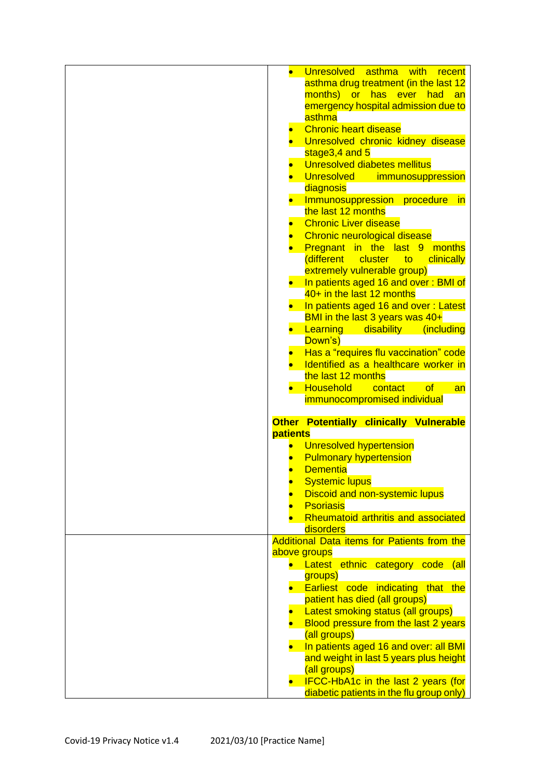| Unresolved asthma with<br>recent                                                       |
|----------------------------------------------------------------------------------------|
| asthma drug treatment (in the last 12                                                  |
| months) or has ever had an                                                             |
| emergency hospital admission due to                                                    |
| asthma                                                                                 |
| <b>Chronic heart disease</b>                                                           |
| Unresolved chronic kidney disease                                                      |
| stage3,4 and 5                                                                         |
| Unresolved diabetes mellitus                                                           |
|                                                                                        |
| Unresolved<br>immunosuppression                                                        |
| diagnosis                                                                              |
| Immunosuppression procedure in                                                         |
| the last 12 months                                                                     |
| <b>Chronic Liver disease</b>                                                           |
| Chronic neurological disease                                                           |
| Pregnant in the last 9 months                                                          |
| different<br>cluster<br>clinically<br><b>to</b>                                        |
| extremely vulnerable group)                                                            |
| In patients aged 16 and over: BMI of                                                   |
| 40+ in the last 12 months                                                              |
| In patients aged 16 and over: Latest                                                   |
| BMI in the last 3 years was 40+                                                        |
|                                                                                        |
| Learning<br>disability (including                                                      |
| Down's)                                                                                |
| Has a "requires flu vaccination" code                                                  |
| Identified as a healthcare worker in                                                   |
| the last 12 months                                                                     |
|                                                                                        |
| <b>Household</b><br>contact<br>of<br>an                                                |
| immunocompromised individual                                                           |
|                                                                                        |
| Other Potentially clinically Vulnerable                                                |
| patients                                                                               |
|                                                                                        |
| <b>Unresolved hypertension</b>                                                         |
| <b>Pulmonary hypertension</b>                                                          |
| <b>Dementia</b>                                                                        |
| <b>Systemic lupus</b>                                                                  |
| <b>Discoid and non-systemic lupus</b>                                                  |
| <b>Psoriasis</b>                                                                       |
| Rheumatoid arthritis and associated                                                    |
| disorders                                                                              |
| Additional Data items for Patients from the                                            |
| above groups                                                                           |
| Latest ethnic category code (all                                                       |
|                                                                                        |
| groups)                                                                                |
| Earliest code indicating that the                                                      |
| patient has died (all groups)                                                          |
| Latest smoking status (all groups)                                                     |
| Blood pressure from the last 2 years                                                   |
| (all groups)                                                                           |
| In patients aged 16 and over: all BMI                                                  |
| and weight in last 5 years plus height                                                 |
| (all groups)                                                                           |
| <b>IFCC-HbA1c in the last 2 years (for</b><br>diabetic patients in the flu group only) |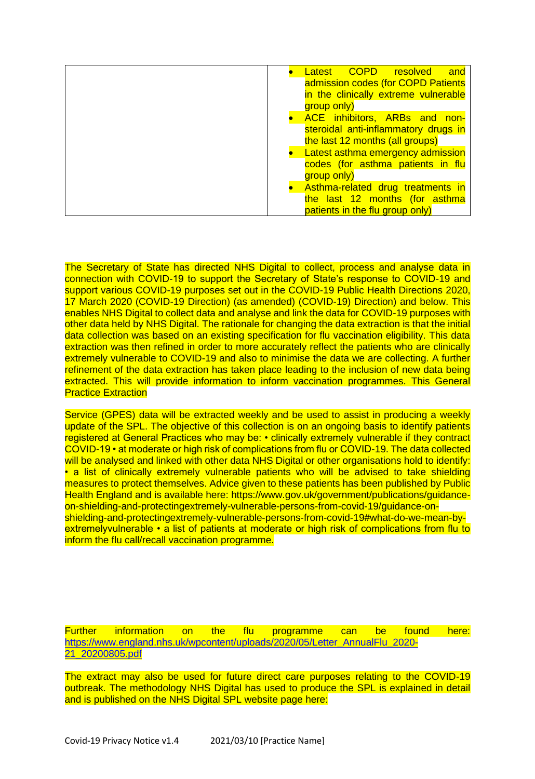| Latest COPD resolved<br>and              |
|------------------------------------------|
| admission codes (for COPD Patients       |
| in the clinically extreme vulnerable     |
| group only)                              |
| <b>ACE</b> inhibitors, ARBs and<br>non-  |
| steroidal anti-inflammatory drugs in     |
| the last 12 months (all groups)          |
| <b>Latest asthma emergency admission</b> |
| codes (for asthma patients in flu        |
| group only)                              |
|                                          |
| Asthma-related drug treatments in        |
| the last 12 months (for asthma           |
| patients in the flu group only)          |

The Secretary of State has directed NHS Digital to collect, process and analyse data in connection with COVID-19 to support the Secretary of State's response to COVID-19 and support various COVID-19 purposes set out in the COVID-19 Public Health Directions 2020, 17 March 2020 (COVID-19 Direction) (as amended) (COVID-19) Direction) and below. This enables NHS Digital to collect data and analyse and link the data for COVID-19 purposes with other data held by NHS Digital. The rationale for changing the data extraction is that the initial data collection was based on an existing specification for flu vaccination eligibility. This data extraction was then refined in order to more accurately reflect the patients who are clinically extremely vulnerable to COVID-19 and also to minimise the data we are collecting. A further refinement of the data extraction has taken place leading to the inclusion of new data being extracted. This will provide information to inform vaccination programmes. This General Practice Extraction

Service (GPES) data will be extracted weekly and be used to assist in producing a weekly update of the SPL. The objective of this collection is on an ongoing basis to identify patients registered at General Practices who may be: • clinically extremely vulnerable if they contract COVID-19 • at moderate or high risk of complications from flu or COVID-19. The data collected will be analysed and linked with other data NHS Digital or other organisations hold to identify: • a list of clinically extremely vulnerable patients who will be advised to take shielding measures to protect themselves. Advice given to these patients has been published by Public Health England and is available here: https://www.gov.uk/government/publications/guidanceon-shielding-and-protectingextremely-vulnerable-persons-from-covid-19/guidance-onshielding-and-protectingextremely-vulnerable-persons-from-covid-19#what-do-we-mean-byextremelyvulnerable • a list of patients at moderate or high risk of complications from flu to inform the flu call/recall vaccination programme.

Further information on the flu programme can be found here: [https://www.england.nhs.uk/wpcontent/uploads/2020/05/Letter\\_AnnualFlu\\_2020-](https://www.england.nhs.uk/wpcontent/uploads/2020/05/Letter_AnnualFlu_2020-21_20200805.pdf) [21\\_20200805.pdf](https://www.england.nhs.uk/wpcontent/uploads/2020/05/Letter_AnnualFlu_2020-21_20200805.pdf)

The extract may also be used for future direct care purposes relating to the COVID-19 outbreak. The methodology NHS Digital has used to produce the SPL is explained in detail and is published on the NHS Digital SPL website page here: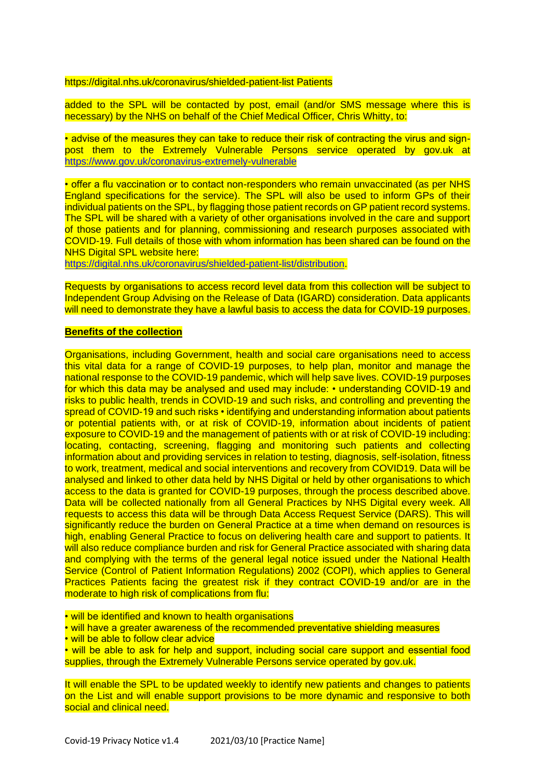https://digital.nhs.uk/coronavirus/shielded-patient-list Patients

added to the SPL will be contacted by post, email (and/or SMS message where this is necessary) by the NHS on behalf of the Chief Medical Officer, Chris Whitty, to:

• advise of the measures they can take to reduce their risk of contracting the virus and signpost them to the Extremely Vulnerable Persons service operated by gov.uk at <https://www.gov.uk/coronavirus-extremely-vulnerable>

• offer a flu vaccination or to contact non-responders who remain unvaccinated (as per NHS England specifications for the service). The SPL will also be used to inform GPs of their individual patients on the SPL, by flagging those patient records on GP patient record systems. The SPL will be shared with a variety of other organisations involved in the care and support of those patients and for planning, commissioning and research purposes associated with COVID-19. Full details of those with whom information has been shared can be found on the NHS Digital SPL website here:

[https://digital.nhs.uk/coronavirus/shielded-patient-list/distribution.](https://digital.nhs.uk/coronavirus/shielded-patient-list/distribution)

Requests by organisations to access record level data from this collection will be subject to Independent Group Advising on the Release of Data (IGARD) consideration. Data applicants will need to demonstrate they have a lawful basis to access the data for COVID-19 purposes.

#### **Benefits of the collection**

Organisations, including Government, health and social care organisations need to access this vital data for a range of COVID-19 purposes, to help plan, monitor and manage the national response to the COVID-19 pandemic, which will help save lives. COVID-19 purposes for which this data may be analysed and used may include: • understanding COVID-19 and risks to public health, trends in COVID-19 and such risks, and controlling and preventing the spread of COVID-19 and such risks • identifying and understanding information about patients or potential patients with, or at risk of COVID-19, information about incidents of patient exposure to COVID-19 and the management of patients with or at risk of COVID-19 including: locating, contacting, screening, flagging and monitoring such patients and collecting information about and providing services in relation to testing, diagnosis, self-isolation, fitness to work, treatment, medical and social interventions and recovery from COVID19. Data will be analysed and linked to other data held by NHS Digital or held by other organisations to which access to the data is granted for COVID-19 purposes, through the process described above. Data will be collected nationally from all General Practices by NHS Digital every week. All requests to access this data will be through Data Access Request Service (DARS). This will significantly reduce the burden on General Practice at a time when demand on resources is high, enabling General Practice to focus on delivering health care and support to patients. It will also reduce compliance burden and risk for General Practice associated with sharing data and complying with the terms of the general legal notice issued under the National Health Service (Control of Patient Information Regulations) 2002 (COPI), which applies to General Practices Patients facing the greatest risk if they contract COVID-19 and/or are in the moderate to high risk of complications from flu:

• will be identified and known to health organisations

• will have a greater awareness of the recommended preventative shielding measures

• will be able to follow clear advice

• will be able to ask for help and support, including social care support and essential food supplies, through the Extremely Vulnerable Persons service operated by gov.uk.

It will enable the SPL to be updated weekly to identify new patients and changes to patients on the List and will enable support provisions to be more dynamic and responsive to both social and clinical need.